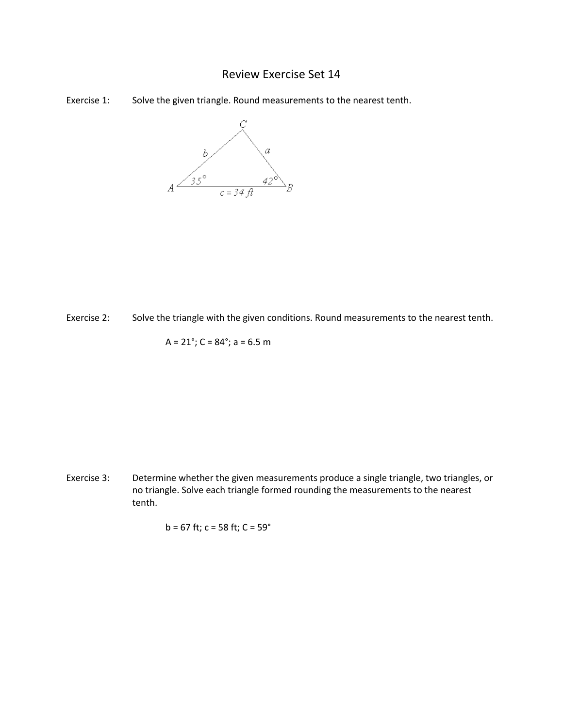## Review Exercise Set 14





Exercise 2: Solve the triangle with the given conditions. Round measurements to the nearest tenth.

$$
A = 21^\circ
$$
;  $C = 84^\circ$ ;  $a = 6.5$  m

Exercise 3: Determine whether the given measurements produce a single triangle, two triangles, or no triangle. Solve each triangle formed rounding the measurements to the nearest tenth.

$$
b = 67
$$
 ft;  $c = 58$  ft;  $C = 59^{\circ}$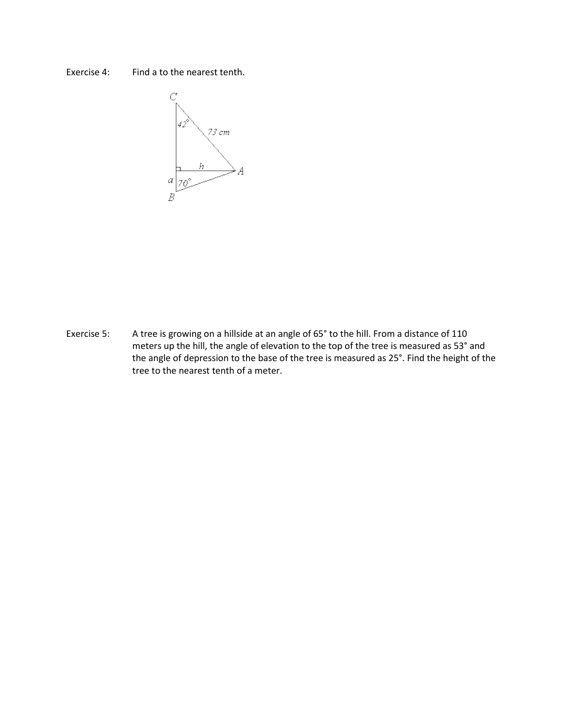## Exercise 4: Find a to the nearest tenth.



Exercise 5: A tree is growing on a hillside at an angle of 65° to the hill. From a distance of 110 meters up the hill, the angle of elevation to the top of the tree is measured as 53° and the angle of depression to the base of the tree is measured as 25°. Find the height of the tree to the nearest tenth of a meter.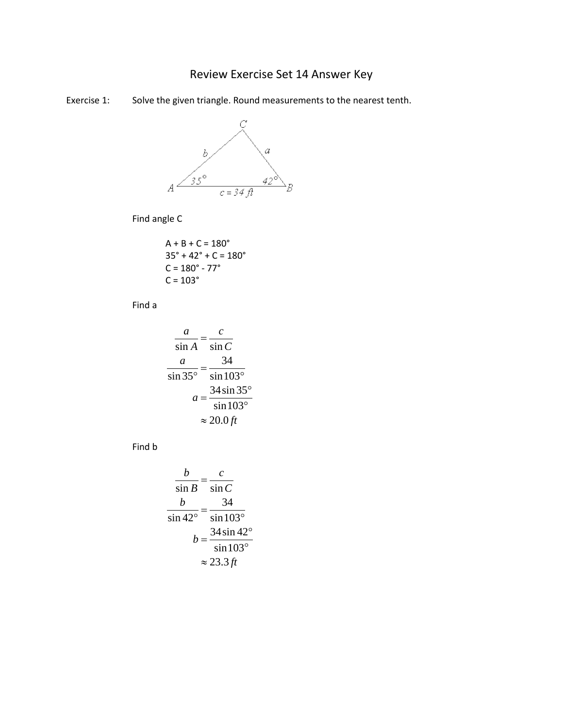## Review Exercise Set 14 Answer Key

Exercise 1: Solve the given triangle. Round measurements to the nearest tenth.



Find angle C

$$
A + B + C = 180^{\circ}
$$
  
35° + 42° + C = 180°  
C = 180° - 77°  
C = 103°

Find a

$$
\frac{a}{\sin A} = \frac{c}{\sin C}
$$

$$
\frac{a}{\sin 35^\circ} = \frac{34}{\sin 103^\circ}
$$

$$
a = \frac{34 \sin 35^\circ}{\sin 103^\circ}
$$

$$
\approx 20.0 \text{ ft}
$$

Find b

$$
\frac{b}{\sin B} = \frac{c}{\sin C}
$$
  

$$
\frac{b}{\sin 42^\circ} = \frac{34}{\sin 103^\circ}
$$
  

$$
b = \frac{34 \sin 42^\circ}{\sin 103^\circ}
$$
  

$$
\approx 23.3 \text{ ft}
$$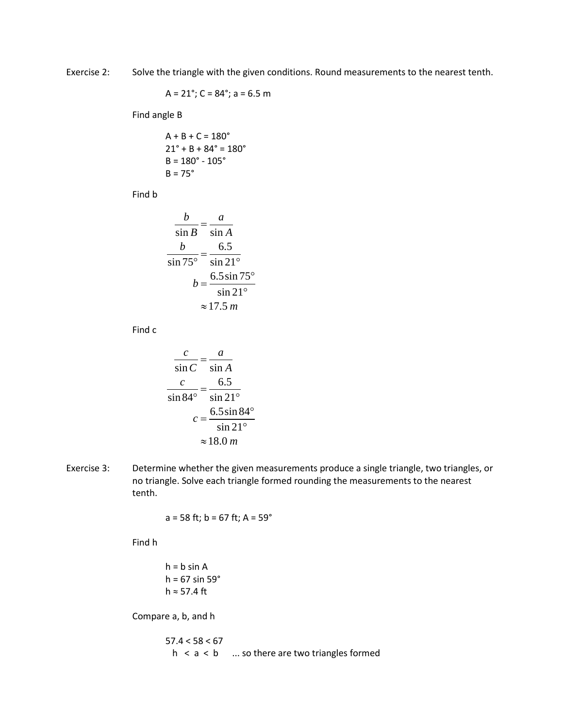Exercise 2: Solve the triangle with the given conditions. Round measurements to the nearest tenth.

$$
A = 21^\circ
$$
;  $C = 84^\circ$ ;  $a = 6.5$  m

Find angle B

$$
A + B + C = 180^{\circ}
$$
  
21<sup>°</sup> + B + 84<sup>°</sup> = 180<sup>°</sup>  
B = 180<sup>°</sup> - 105<sup>°</sup>  
B = 75<sup>°</sup>

Find b

$$
\frac{b}{\sin B} = \frac{a}{\sin A}
$$
  

$$
\frac{b}{\sin 75^\circ} = \frac{6.5}{\sin 21^\circ}
$$
  

$$
b = \frac{6.5 \sin 75^\circ}{\sin 21^\circ}
$$
  

$$
\approx 17.5 \text{ m}
$$

Find c

$$
\frac{c}{\sin C} = \frac{a}{\sin A}
$$

$$
\frac{c}{\sin 84^\circ} = \frac{6.5}{\sin 21^\circ}
$$

$$
c = \frac{6.5 \sin 84^\circ}{\sin 21^\circ}
$$

$$
\approx 18.0 \, \text{m}
$$

Exercise 3: Determine whether the given measurements produce a single triangle, two triangles, or no triangle. Solve each triangle formed rounding the measurements to the nearest tenth.

 $a = 58$  ft; b = 67 ft; A = 59 $^{\circ}$ 

Find h

 $h = b \sin A$ h =  $67 \sin 59^\circ$ h ≈ 57.4 ft

Compare a, b, and h

 $57.4 < 58 < 67$  $h < a < b$  ... so there are two triangles formed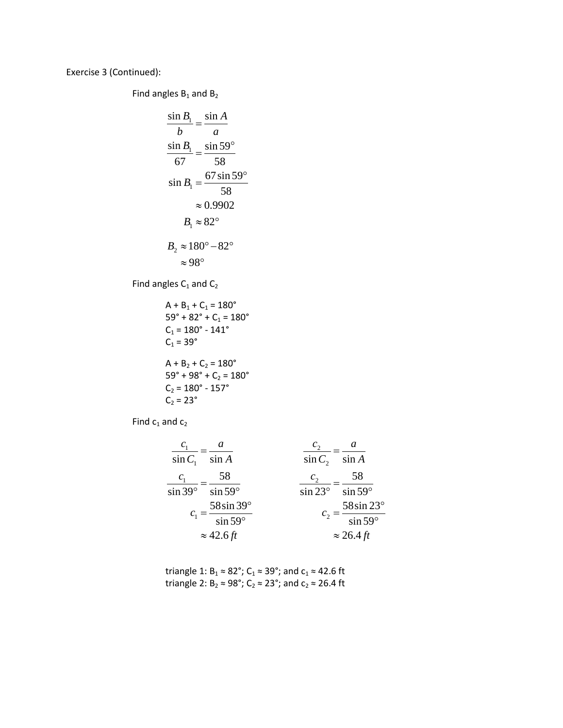Exercise 3 (Continued):

Find angles  $B_1$  and  $B_2$ 

$$
\frac{\sin B_1}{b} = \frac{\sin A}{a}
$$
  

$$
\frac{\sin B_1}{67} = \frac{\sin 59^\circ}{58}
$$
  

$$
\sin B_1 = \frac{67 \sin 59^\circ}{58}
$$
  

$$
\approx 0.9902
$$
  

$$
B_1 \approx 82^\circ
$$
  

$$
B_2 \approx 180^\circ - 82^\circ
$$
  

$$
\approx 98^\circ
$$

Find angles  $C_1$  and  $C_2$ 

$$
A + B_1 + C_1 = 180^{\circ}
$$
  
\n
$$
59^{\circ} + 82^{\circ} + C_1 = 180^{\circ}
$$
  
\n
$$
C_1 = 180^{\circ} - 141^{\circ}
$$
  
\n
$$
C_1 = 39^{\circ}
$$
  
\n
$$
A + B_2 + C_2 = 180^{\circ}
$$
  
\n
$$
59^{\circ} + 98^{\circ} + C_2 = 180^{\circ}
$$
  
\n
$$
C_2 = 180^{\circ} - 157^{\circ}
$$
  
\n
$$
C_2 = 23^{\circ}
$$

Find  $c_1$  and  $c_2$ 

$$
\frac{c_1}{\sin C_1} = \frac{a}{\sin A}
$$
\n
$$
\frac{c_1}{\sin 39^\circ} = \frac{58}{\sin 59^\circ}
$$
\n
$$
\frac{c_2}{\sin C_2} = \frac{a}{\sin A}
$$
\n
$$
\frac{c_2}{\sin 23^\circ} = \frac{58}{\sin 59^\circ}
$$
\n
$$
c_1 = \frac{58 \sin 39^\circ}{\sin 59^\circ}
$$
\n
$$
\approx 42.6 \text{ ft}
$$
\n
$$
\approx 26.4 \text{ ft}
$$

triangle 1:  $B_1 \approx 82^\circ$ ;  $C_1 \approx 39^\circ$ ; and  $c_1 \approx 42.6$  ft<br>triangle 2:  $B_2 \approx 98^\circ$ ;  $C_2 \approx 23^\circ$ ; and  $c_2 \approx 26.4$  ft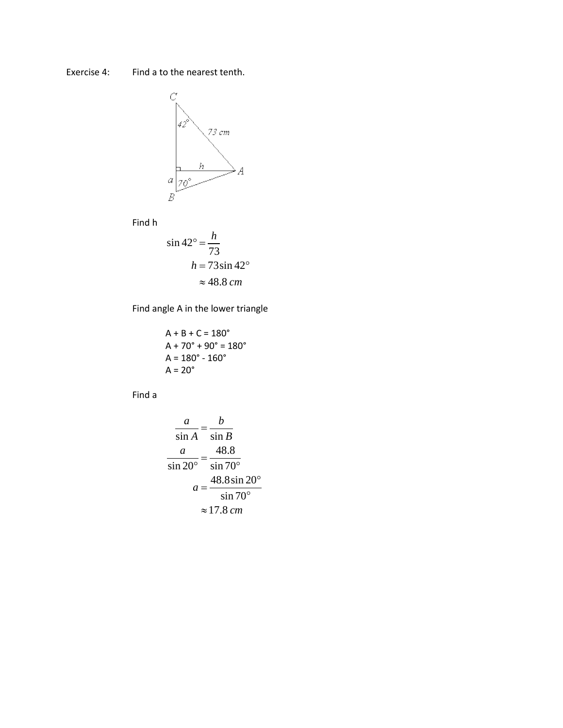Find a to the nearest tenth. Exercise 4:



Find h

$$
\sin 42^\circ = \frac{h}{73}
$$
  
 
$$
h = 73 \sin 42^\circ
$$
  

$$
\approx 48.8 \text{ cm}
$$

Find angle A in the lower triangle

$$
A + B + C = 180^{\circ}
$$
  
\n
$$
A + 70^{\circ} + 90^{\circ} = 180^{\circ}
$$
  
\n
$$
A = 180^{\circ} - 160^{\circ}
$$
  
\n
$$
A = 20^{\circ}
$$

Find a

$$
\frac{a}{\sin A} = \frac{b}{\sin B}
$$

$$
\frac{a}{\sin 20^\circ} = \frac{48.8}{\sin 70^\circ}
$$

$$
a = \frac{48.8 \sin 20^\circ}{\sin 70^\circ}
$$

$$
\approx 17.8 \text{ cm}
$$